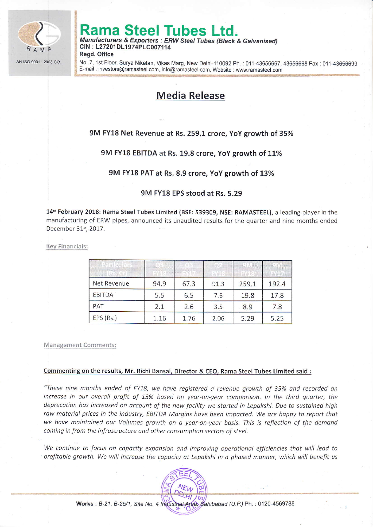

# na Steel Tubes Ltd.

Manufacturers & Exporters : ERW Steel Tubes (Black & Galvanised) CIN: L27201DL1974PLC007114 Regd. Office

No. 7, 1st Floor, Surya Niketan, Vikas Marg, New Delhi-110092 Ph. : 011-43656667, 43656668 Fax : 011-43656699 E-mail : investors@ramasteel.com, info@ramasteel.com, Website : www.ramasteel.com

# Media Release

## 9M FY18 Net Revenue at Rs. 259.1 crore, YoY growth of 35%

### 9M FY18 EBITDA at Rs. 19.8 crore, YoY growth of 11%

#### 9M FY18 PAT at Rs. 8.9 crore, YoY growth of 13%

#### 9M FY18 EPS stood at Rs. 5.29

14<sup>th</sup> February 2018: Rama Steel Tubes Limited (BSE: 539309, NSE: RAMASTEEL), a leading player in the manufacturing of ERW pipes, announced its unaudited results for the quarter and nine months ended December 31<sup>st</sup>, 2017.

Key Financials:

| Net Revenue | 94.9 | 67.3 | 91.3 | 259.1 | 192.4 |
|-------------|------|------|------|-------|-------|
| EBITDA      | 5.5  | 6.5  | 7.6  | 19.8  | 17.8  |
| PAT         | 2.1  | 2.6  | 3.5  | 8.9   | 7.8   |
| EPS (Rs.)   | 1.16 | 1.76 | 2.06 | 5.29  | 5.25  |

Management Comments:

#### Commenting on the results, Mr. Richi Bansal, Director & CEO, Rama Steel Tubes limited said :

"These nine months ended of FY18, we hove registered o revenue growth of 35% ond recorded an increase in our overall profit of 13% based on year-on-year comparison. In the third quarter, the deprecation has increased on account of the new facility we started in Lepakshi. Due to sustained high raw material prices in the industry, EBITDA Margins have been impacted. We are happy to report that we have maintained our Volumes growth on a year-on-year basis. This is reflection of the demand coming in from the infrastructure and other consumption sectors of steel.

We continue to focus on capacity expansion and improving operational efficiencies that will lead to profitable growth. We will increase the capacity at Lepakshi in a phased manner, which will benefit us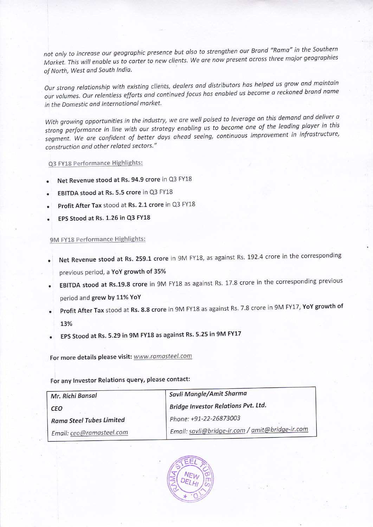not only to increase our geographic presence but also to strengthen our Brand "Rama" in the Southern Market. This will enable us to carter to new clients. We are now present across three major geographies of North, West ond South lndia.

Our strong relationship with existing clients, dealers and distributors has helped us grow and maintain our volumes. Our relentless efforts and continued focus has enabled us become a reckoned brand name in the Domestic and International market.

With growing opportunities in the industry, we are well poised to leverage on this demand and deliver a strong performance in line with our strategy enabling us to become one of the leading player in this segment. We are confident of better days ahead seeing, continuous improvement in infrastructure, construction ond other related sectors."

Q3 FY18 Performance Highlights:

- Net Revenue stood at Rs. 94.9 crore in Q3 FY18
- EBITDA stood at Rs. 5.5 crore in Q3 FY18
- Profit After Tax stood at Rs. 2.1 crore in Q3 FY18  $\bullet$
- EPS Stood at Rs. 1.26 in Q3 FY18

#### 9M FY18 Performance Highlights:

- . Net Revenue stood at Rs. 259.1 crore in 9M FY18, as against Rs. 192.4 crore in the corresponding previous period, a YoY growth of 35%
- . EBITDA stood at Rs.19.8 crore in 9M FY18 as against Rs. 17.8 crore in the corresponding previous period and grew by 11% YoY
- Profit After Tax stood at Rs. 8.8 crore in 9M FY18 as against Rs. 7.8 crore in 9M FY17, YoY growth of L3%
- EPS Stood at Rs. 5.29 in 9M FY18 as against Rs. 5.25 in 9M FY17

For more details please visit: www.ramasteel.com

For any lnvestor Relations query, please contact:

| Mr. Richi Bansal                | Savli Mangle/Amit Sharma                        |  |  |
|---------------------------------|-------------------------------------------------|--|--|
| <b>CEO</b>                      | <b>Bridge Investor Relations Pvt. Ltd.</b>      |  |  |
| <b>Rama Steel Tubes Limited</b> | Phone: +91-22-26873003                          |  |  |
| Email: ceo@ramasteel.com        | Email: savli@bridge-ir.com / amit@bridge-ir.com |  |  |